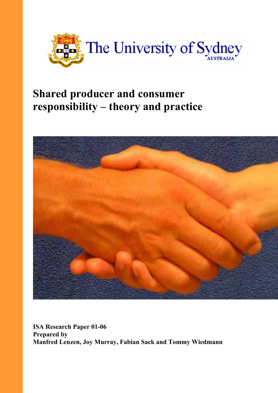

## **Shared producer and consumer responsibility – theory and practice**



**ISA Research Paper 01-06 Prepared by Manfred Lenzen, Joy Murray, Fabian Sack and Tommy Wiedmann**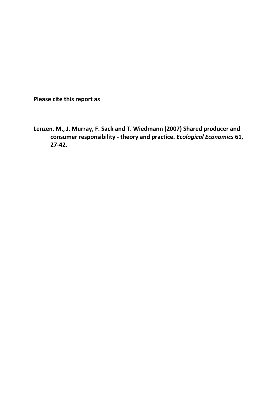**Please cite this report as**

**Lenzen, M., J. Murray, F. Sack and T. Wiedmann (2007) Shared producer and consumer responsibility - theory and practice.** *Ecological Economics* **61, 27-42.**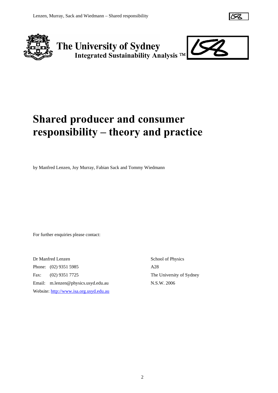



# **Shared producer and consumer responsibility – theory and practice**

by Manfred Lenzen, Joy Murray, Fabian Sack and Tommy Wiedmann

For further enquiries please contact:

Dr Manfred Lenzen School of Physics Phone: (02) 9351 5985 A28 Fax: (02) 9351 7725 The University of Sydney Email: m.lenzen@physics.usyd.edu.au N.S.W. 2006 Website: [http://www.isa.org.usyd.edu.au](http://www.isa.org.usyd.edu.au/)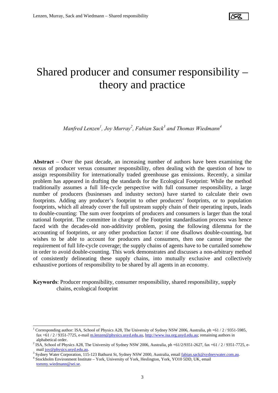### Shared producer and consumer responsibility – theory and practice

*Manfred Lenze[n1](#page-5-0) , Joy Murray[2](#page-5-1) , Fabian Sack[3](#page-5-2) and Thomas Wiedman[n4](#page-5-3)*

**Abstract** – Over the past decade, an increasing number of authors have been examining the nexus of producer versus consumer responsibility, often dealing with the question of how to assign responsibility for internationally traded greenhouse gas emissions. Recently, a similar problem has appeared in drafting the standards for the Ecological Footprint: While the method traditionally assumes a full life-cycle perspective with full consumer responsibility, a large number of producers (businesses and industry sectors) have started to calculate their own footprints. Adding any producer's footprint to other producers' footprints, or to population footprints, which all already cover the full upstream supply chain of their operating inputs, leads to double-counting: The sum over footprints of producers and consumers is larger than the total national footprint. The committee in charge of the Footprint standardisation process was hence faced with the decades-old non-additivity problem, posing the following dilemma for the accounting of footprints, or any other production factor: if one disallows double-counting, but wishes to be able to account for producers and consumers, then one cannot impose the requirement of full life-cycle coverage; the supply chains of agents have to be curtailed somehow in order to avoid double-counting. This work demonstrates and discusses a non-arbitrary method of consistently delineating these supply chains, into mutually exclusive and collectively exhaustive portions of responsibility to be shared by all agents in an economy.

**Keywords**: Producer responsibility, consumer responsibility, shared responsibility, supply chains, ecological footprint

<span id="page-5-0"></span> $\frac{1}{1}$  Corresponding author: ISA, School of Physics A28, The University of Sydney NSW 2006, Australia, ph +61 / 2 / 9351-5985, fax +61 / 2 / 9351-7725, e-mail [m.lenzen@physics.usyd.edu.au](mailto:m.lenzen@physics.usyd.edu.au), [http://www.isa.org.usyd.edu.au;](http://www.isa.org.usyd.edu.au/) remaining authors in alphabetical order.

<span id="page-5-1"></span><sup>&</sup>lt;sup>2</sup> ISA, School of Physics A28, The University of Sydney NSW 2006, Australia, ph +61/2/9351-2627, fax +61 / 2 / 9351-7725, email [joy@physics.usyd.edu.au](mailto:joy@physics.usyd.edu.au). 3

<span id="page-5-2"></span><sup>&</sup>lt;sup>3</sup> Sydney Water Corporation, 115-123 Bathurst St, Sydney NSW 2000, Australia, email *fabian.sack@sydneywater.com.au.* 

<span id="page-5-3"></span>Stockholm Environment Institute – York, University of York, Heslington, York, YO10 5DD, UK, email [tommy.wiedmann@sei.se](mailto:tommy.wiedmann@sei.se).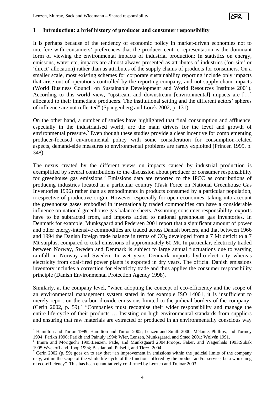

#### **1 Introduction: a brief history of producer and consumer responsibility**

It is perhaps because of the tendency of economic policy in market-driven economies not to interfere with consumers' preferences that the producer-centric representation is the dominant form of viewing the environmental impacts of industrial production: In statistics on energy, emissons, water etc, impacts are almost always presented as attributes of industries ('on-site' or 'direct' allocation) rather than as attributes of the supply chains of products for consumers. On a smaller scale, most existing schemes for corporate sustainability reporting include only impacts that arise out of operations controlled by the reporting company, and not supply-chain impacts (World Business Council on Sustainable Development and World Resources Institute 2001). According to this world view, "upstream and downstream [environmental] impacts are […] allocated to their immediate producers. The institutional setting and the different actors' spheres of influence are not reflected" (Spangenberg and Lorek 2002, p. 131).

On the other hand, a number of studies have highlighted that final consumption and affluence, especially in the industrialised world, are the main drivers for the level and growth of environmental pressure.<sup>5</sup> Even though these studies provide a clear incentive for complementing producer-focused environmental policy with some consideration for consumption-related aspects, demand-side measures to environmental problems are rarely exploited (Princen 1999, p. 348).

The nexus created by the different views on impacts caused by industrial production is exemplified by several contributions to the discussion about producer or consumer responsibility for greenhouse gas emissions.<sup>6</sup> Emissions data are reported to the IPCC as contributions of producing industries located in a particular country (Task Force on National Greenhouse Gas Inventories 1996) rather than as embodiments in products consumed by a particular population, irrespective of productive origin. However, especially for open economies, taking into account the greenhouse gases embodied in internationally traded commodities can have a considerable influence on national greenhouse gas balance sheets. Assuming consumer responsibility, exports have to be subtracted from, and imports added to national greenhouse gas inventories. In Denmark for example, Munksgaard and Pedersen 2001 report that a significant amount of power and other energy-intensive commodities are traded across Danish borders, and that between 1966 and 1994 the Danish foreign trade balance in terms of  $CO<sub>2</sub>$  developed from a 7 Mt deficit to a 7 Mt surplus, compared to total emissions of approximately 60 Mt. In particular, electricity traded between Norway, Sweden and Denmark is subject to large annual fluctuations due to varying rainfall in Norway and Sweden. In wet years Denmark imports hydro-electricity whereas electricity from coal-fired power plants is exported in dry years. The official Danish emissions inventory includes a correction for electricity trade and thus applies the consumer responsibility principle (Danish Environmental Protection Agency 1998).

Similarly, at the company level, "when adopting the concept of eco-efficiency and the scope of an environmental management system stated in for example ISO 14001, it is insufficient to merely report on the carbon dioxide emissions limited to the judicial borders of the company" (Cerin 2002, p. 59).<sup>[7](#page-6-2)</sup> "Companies must recognise their wider responsibility and manage the entire life-cycle of their products … Insisting on high environmental standards from suppliers and ensuring that raw materials are extracted or produced in an environmentally conscious way

<span id="page-6-0"></span> <sup>5</sup> <sup>5</sup> Hamilton and Turton 1999; Hamilton and Turton 2002; Lenzen and Smith 2000; Mélanie, Phillips, and Tormey 1994; Parikh 1996; Parikh and Painuly 1994; Wier, Lenzen, Munksgaard, and Smed 2001; Wolvén 1991. 6 Imura and Moriguchi 1995;Lenzen, Pade, and Munksgaard 2004;Proops, Faber, and Wagenhals 1993;Subak

<span id="page-6-1"></span><sup>1995;</sup>Wyckoff and Roop 1994; Bastianoni, Pulselli, and Tiezzi 2004. 7

<span id="page-6-2"></span> $\frac{7}{1}$  Cerin 2002 (p. 59) goes on to say that "an improvement in emissions within the judicial limits of the company may, within the scope of the whole life-cycle of the functions offered by the product and/or service, be a worsening of eco-efficiency". This has been quantitatively confirmed by Lenzen and Treloar 2003.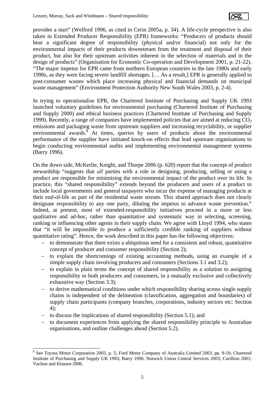provides a start" (Welford 1996, as cited in Cerin 2005a, p. 34). A life-cycle perspective is also taken in Extended Producer Responsibility (EPR) frameworks: "Producers of products should bear a significant degree of responsibility (physical and/or financial) not only for the environmental impacts of their products downstream from the treatment and disposal of their product, but also for their upstream activities inherent in the selection of materials and in the design of products" (Organisation for Economic Co-operation and Development 2001, p. 21-22). "The major impetus for EPR came from northern European countries in the late 1980s and early 1990s, as they were facing severe landfill shortages. [… As a result,] EPR is generally applied to post-consumer wastes which place increasing physical and financial demands on municipal waste management" (Environment Protection Authority New South Wales 2003, p. 2-4).

<span id="page-7-1"></span>In trying to operationalise EPR, the Chartered Institute of Purchasing and Supply UK 1993 launched voluntary guidelines for environmental purchasing (Chartered Institute of Purchasing and Supply 2000) and ethical business practices (Chartered Institute of Purchasing and Supply 1999). Recently, a range of companies have implemented policies that are aimed at reducing  $CO<sub>2</sub>$ emissions and packaging waste from upstream suppliers and increasing recyclability, or supplier environmental awards.<sup>[8](#page-7-0)</sup> At times, queries by users of products about the environmental performance of the supplier have initiated knock-on effects that lead upstream organisations to begin conducting environmental audits and implementing environmental management systems (Barry 1996).

On the down side, McKerlie, Knight, and Thorpe 2006 (p. 620) report that the concept of product stewardship "suggests that *all* parties with a role in designing, producing, selling or using a product are responsible for minimising the environmental impact of the product over its life. In practice, this "shared responsibility" extends beyond the producers and users of a product to include local governments and general taxpayers who incur the expense of managing products at their end-of-life as part of the residential waste stream. This shared approach does not clearly designate responsibility to any one party, diluting the impetus to advance waste prevention." Indeed, at present, most of extended-responsibility initiatives proceed in a more or less qualitative and ad-hoc, rather than quantitative and systematic way in selecting, screening, ranking or influencing other agents in their supply chain. We agree with Lloyd 1994, who states that "it will be impossible to produce a sufficiently credible ranking of suppliers without quantitative rating". Hence, the work described in this paper has the following objectives:

- − to demonstrate that there exists a ubiquitous need for a consistent and robust, quantitative concept of producer and consumer responsibility (Section [2\)](#page-8-0);
- − to explain the shortcomings of existing accounting methods, using an example of a simple supply chain involving producers and consumers (Sections [3.1](#page-11-0) and [3.2\)](#page-11-1);
- − to explain in plain terms the concept of shared responsibility as a solution to assigning responsibility to both producers and consumers, in a mutually exclusive and collectively exhaustive way (Section [3.3\)](#page-13-0);
- − to derive mathematical conditions under which responsibility sharing across single supply chains is independent of the delineation (classification, aggregation and boundaries) of supply chain participants (company branches, corporations, industry sectors etc; Section [4\)](#page-15-0);
- − to discuss the implications of shared responsibility (Section 5.1); and
- − to document experiences from applying the shared responsibility principle to Australian organisations, and outline challenges ahead (Section 5.2).

<span id="page-7-0"></span> <sup>8</sup> See Toyota Motor Corporation 2003, p. 5; Ford Motor Company of Australia Limited 2003, pp. 9-10; Chartered Institute of Purchasing and Supply UK 1993; Barry 1996; Norwich Union Central Services 2003; Carillion 2001; Vachon and Klassen 2006.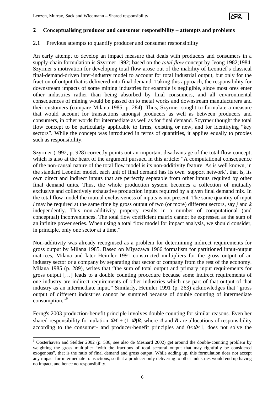

#### <span id="page-8-0"></span>**2 Conceptualising producer and consumer responsibility – attempts and problems**

#### 2.1 Previous attempts to quantify producer and consumer responsibility

An early attempt to develop an impact measure that deals with producers and consumers in a supply-chain formulation is Szyrmer 1992; based on the *total flow* concept by Jeong 1982;1984. Szyrmer's motivation for developing total flow arose out of the inability of Leontief's classical final-demand-driven inter-industry model to account for total industrial output, but only for the fraction of output that is delivered into final demand. Taking this approach, the responsibility for downstream impacts of some mining industries for example is negligible, since most ores enter other industries rather than being absorbed by final consumers, and all environmental consequences of mining would be passed on to metal works and downstream manufacturers and their customers (compare Milana 1985, p. 284). Thus, Szyrmer sought to formulate a measure that would account for transactions amongst producers as well as between producers and consumers, in other words for intermediate as well as for final demand. Szyrmer thought the total flow concept to be particularly applicable to firms, existing or new, and for identifying "key sectors". While the concept was introduced in terms of quantities, it applies equally to proxies such as responsibility.

Szyrmer (1992, p. 928) correctly points out an important disadvantage of the total flow concept, which is also at the heart of the argument pursued in this article: "A computational consequence of the non-causal nature of the total flow model is its non-additivity feature. As is well known, in the standard Leontief model, each unit of final demand has its own 'support network', that is, its own direct and indirect inputs that are perfectly separable from other inputs required by other final demand units. Thus, the whole production system becomes a collection of mutually exclusive and collectively exhaustive production inputs required by a given final demand mix. In the total flow model the mutual exclusiveness of inputs is not present. The same quantity of input *i* may be required at the same time by gross output of two (or more) different sectors, say *j* and *k* independently. This non-additivity property results in a number of computational (and conceptual) inconveniences. The total flow coefficient matrix cannot be expressed as the sum of an infinite power series. When using a total flow model for impact analysis, we should consider, in principle, only one sector at a time."

Non-additivity was already recognised as a problem for determining indirect requirements for gross output by Milana 1985. Based on Miyazawa 1966 formalism for partitioned input-output matrices, Milana and later Heimler 1991 constructed multipliers for the gross output of an industry sector or a company by separating that sector or company from the rest of the economy. Milana 1985 (p. 289), writes that "the sum of total output and primary input requirements for gross output […] leads to a double counting procedure because some indirect requirements of one industry are indirect requirements of other industries which use part of that output of that industry as an intermediate input." Similarly, Heimler 1991 (p. 263) acknowledges that "gross output of different industries cannot be summed because of double counting of intermediate consumption."<sup>[9](#page-8-1)</sup>

Ferng's 2003 production-benefit principle involves double counting for similar reasons. Even her shared-responsibility formulation  $\Phi A + (1-\Phi)B$ , where *A* and *B* are allocations of responsibility according to the consumer- and producer-benefit principles and  $0 < \Phi < 1$ , does not solve the

<span id="page-8-1"></span><sup>-&</sup>lt;br>9 <sup>9</sup> Oosterhaven and Stelder 2002 (p. 536, see also de Mesnard 2002) get around the double-counting problem by weighting the gross multiplier "with the fractions of total sectoral output that may rightfully be considered exogenous", that is the ratio of final demand and gross output. While adding up, this formulation does not accept any impact for intermediate transactions, so that a producer only delivering to other industries would end up having no impact, and hence no responsibility.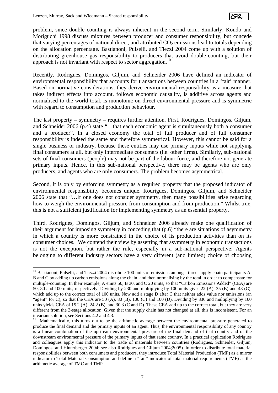

problem, since double counting is always inherent in the second term. Similarly, Kondo and Moriguchi 1998 discuss mixtures between producer and consumer responsibility, but concede that varying percentages of national direct, and attributed  $CO<sub>2</sub>$  emissions lead to totals depending on the allocation percentage. Bastianoni, Pulselli, and Tiezzi 2004 come up with a solution of distributing greenhouse gas responsibility to producers that avoid double-counting, but their approach is not invariant with respect to sector aggregation.<sup>10</sup>

Recently, Rodrigues, Domingos, Giljum, and Schneider 2006 have defined an indicator of environmental responsibility that accounts for transactions between countries in a 'fair' manner. Based on normative considerations, they derive environmental responsibility as a measure that takes indirect effects into account, follows economic causality, is additive across agents and normalised to the world total, is monotonic on direct environmental pressure and is symmetric with regard to consumption and production behaviour. $^{11}$ 

The last property – symmetry – requires further attention. First, Rodrigues, Domingos, Giljum, and Schneider 2006 (p.4) state "…that each economic agent is simultaneously both a consumer and a producer". In a closed economy the total of full producer and of full consumer responsibility is indeed the same and therefore symmetrical. However, this cannot be said for a single business or industry, because these entities may use primary inputs while not supplying final consumers at all, but only intermediate consumers (i.e. other firms). Similarly, sub-national sets of final consumers (people) may not be part of the labour force, and therefore not generate primary inputs. Hence, in this sub-national perspective, there may be agents who are only producers, and agents who are only consumers. The problem becomes asymmetrical.

Second, it is only by enforcing symmetry as a required property that the proposed indicator of environmental responsibility becomes unique. Rodrigues, Domingos, Giljum, and Schneider 2006 state that "…if one does not consider symmetry, then many possibilities arise regarding how to weigh the environmental pressure from consumption and from production." Whilst true, this is not a sufficient justification for implementing symmetry as an essential property.

Third, Rodrigues, Domingos, Giljum, and Schneider 2006 already make one qualification of their argument for imposing symmetry in conceding that (p.6) "there are situations of asymmetry in which a country is more constrained in the choice of its production activities than on its consumer choices." We contend their view by asserting that asymmetry in economic transactions is not the exception, but rather the rule, especially in a sub-national perspective: Agents belonging to different industry sectors have a very different (and limited) choice of choosing

<span id="page-9-0"></span><sup>&</sup>lt;sup>10</sup> Bastianoni, Pulselli, and Tiezzi 2004 distribute 100 units of emissions amongst three supply chain participants A, B and C by adding up carbon emissions along the chain, and then normalising by the total in order to compensate for multiple-counting. In their example, A emits 50, B 30, and C 20 units, so that "Carbon Emissions Added" (CEA) are 50, 80 and 100 units, respectively. Dividing by 230 and multiplying by 100 units gives 22 (A), 35 (B) and 43 (C), which add up to the correct total of 100 units. Now add a stage D after C that neither adds value nor emissions (an "agent" for C), so that the CEA are 50 (A), 80 (B), 100 (C) and 100 (D). Dividing by 330 and multiplying by 100 units yields CEA of 15.2 (A), 24.2 (B), and 30.3 (C and D). These CEA add up to the correct total, but they are very different from the 3-stage allocation. Given that the supply chain has not changed at all, this is inconsistent. For an

<span id="page-9-1"></span>invariant solution, see Sections 4.2 and 4.3.<br><sup>11</sup> Mathematically, this turns out to be the arithmetic average between the environmental pressure generated to produce the final demand and the primary inputs of an agent. Thus, the environmental responsibility of any country is a linear combination of the upstream environmental pressure of the final demand of that country and of the downstream environmental pressure of the primary inputs of that same country. In a practical application Rodrigues and colleagues apply this indicator to the trade of materials between countries (Rodrigues, Schneider, Giljum, Domingos, and Hinterberger 2004; see also Rodrigues and Giljum 2004;2005). In order to distribute total material responsibilities between both consumers and producers, they introduce Total Material Production (TMP) as a mirror indicator to Total Material Consumption and define a "fair" indicator of total material requirements (TMF) as the arithmetic average of TMC and TMP.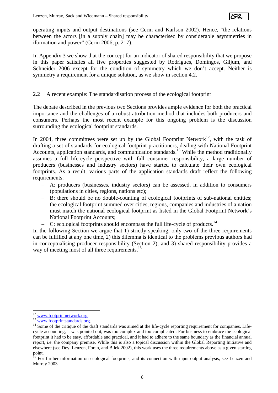operating inputs and output destinations (see Cerin and Karlson 2002). Hence, "the relations between the actors [in a supply chain] may be characterised by considerable asymmetries in iformation and power" (Cerin 2006, p. 217).

In Appendix 3 we show that the concept for an indicator of shared responsibility that we propose in this paper satisfies all five properties suggested by Rodrigues, Domingos, Giljum, and Schneider 2006 except for the condition of symmetry which we don't accept. Neither is symmetry a requirement for a unique solution, as we show in section [4.2.](#page-16-0)

#### 2.2 A recent example: The standardisation process of the ecological footprint

The debate described in the previous two Sections provides ample evidence for both the practical importance and the challenges of a robust attribution method that includes both producers and consumers. Perhaps the most recent example for this ongoing problem is the discussion surrounding the ecological footprint standards.

In 2004, three committees were set up by the Global Footprint Network<sup>12</sup>, with the task of drafting a set of standards for ecological footprint practitioners, dealing with National Footprint Accounts, application standards, and communication standards.<sup>13</sup> While the method traditionally assumes a full life-cycle perspective with full consumer responsibility, a large number of producers (businesses and industry sectors) have started to calculate their own ecological footprints. As a result, various parts of the application standards draft reflect the following requirements:

- − A: producers (businesses, industry sectors) can be assessed, in addition to consumers (populations in cities, regions, nations etc);
- − B: there should be no double-counting of ecological footprints of sub-national entities; the ecological footprint summed over cities, regions, companies and industries of a nation must match the national ecological footprint as listed in the Global Footprint Network's National Footprint Accounts;
- − C: ecological footprints should encompass the full life-cycle of products[.14](#page-10-2)

In the following Section we argue that 1) strictly speaking, only two of the three requirements can be fulfilled at any one time, 2) this dilemma is identical to the problems previous authors had in conceptualising producer responsibility (Section [2\)](#page-8-0), and 3) shared responsibility provides a way of meeting most of all three requirements.<sup>15</sup>

<span id="page-10-0"></span>

<span id="page-10-2"></span><span id="page-10-1"></span>

 $\frac{^{12}$  [www.footprintnetwork.org](http://www.footprintnetwork.org/).<br><sup>13</sup> [www.footprintstandards.org](http://www.footprintstandards.org/).<br><sup>14</sup> Some of the critique of the draft standards was aimed at the life-cycle reporting requirement for companies. Lifecycle accounting, it was pointed out, was too complex and too complicated: For business to embrace the ecological footprint it had to be easy, affordable and practical, and it had to adhere to the same boundary as the financial annual report, i.e. the company premise. While this is also a topical discussion within the Global Reporting Initiative and elsewhere (see Dey, Lenzen, Foran, and Bilek 2002), this work uses the three requirements above as a given starting

<span id="page-10-3"></span>point.<br><sup>15</sup> For further information on ecological footprints, and its connection with input-output analysis, see Lenzen and Murray 2003.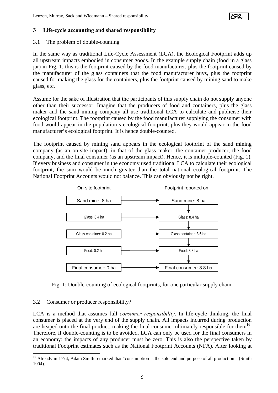

#### **3 Life-cycle accounting and shared responsibility**

#### <span id="page-11-0"></span>3.1 The problem of double-counting

In the same way as traditional Life-Cycle Assessment (LCA), the Ecological Footprint adds up all upstream impacts embodied in consumer goods. In the example supply chain (food in a glass jar) in Fig. 1, this is the footprint caused by the food manufacturer, plus the footprint caused by the manufacturer of the glass containers that the food manufacturer buys, plus the footprint caused for making the glass for the containers, plus the footprint caused by mining sand to make glass, etc.

Assume for the sake of illustration that the participants of this supply chain do not supply anyone other than their successor. Imagine that the producers of food and containers, plus the glass maker and the sand mining company all use traditional LCA to calculate and publicise their ecological footprint. The footprint caused by the food manufacturer supplying the consumer with food would appear in the population's ecological footprint, plus they would appear in the food manufacturer's ecological footprint. It is hence double-counted.

The footprint caused by mining sand appears in the ecological footprint of the sand mining company (as an on-site impact), in that of the glass maker, the container producer, the food company, and the final consumer (as an upstream impact). Hence, it is multiple-counted (Fig. 1). If every business and consumer in the economy used traditional LCA to calculate their ecological footprint, the sum would be much greater than the total national ecological footprint. The National Footprint Accounts would not balance. This can obviously not be right.



Fig. 1: Double-counting of ecological footprints, for one particular supply chain.

#### <span id="page-11-1"></span>3.2 Consumer or producer responsibility?

LCA is a method that assumes full *consumer responsibility*. In life-cycle thinking, the final consumer is placed at the very end of the supply chain. All impacts incurred during production are heaped onto the final product, making the final consumer ultimately responsible for them<sup>16</sup>. Therefore, if double-counting is to be avoided, LCA can only be used for the final consumers in an economy: the impacts of any producer must be zero. This is also the perspective taken by traditional Footprint estimates such as the National Footprint Accounts (NFA). After looking at

<span id="page-11-2"></span><sup>&</sup>lt;sup>16</sup> Already in 1774, Adam Smith remarked that "consumption is the sole end and purpose of all production" (Smith 1904).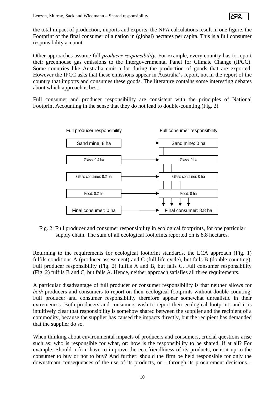

the total impact of production, imports and exports, the NFA calculations result in one figure, the Footprint of the final consumer of a nation in (global) hectares per capita. This is a full consumer responsibility account.

Other approaches assume full *producer responsibility*. For example, every country has to report their greenhouse gas emissions to the Intergovernmental Panel for Climate Change (IPCC). Some countries like Australia emit a lot during the production of goods that are exported. However the IPCC asks that these emissions appear in Australia's report, not in the report of the country that imports and consumes these goods. The literature contains some interesting debates about which approach is best.

Full consumer and producer responsibility are consistent with the principles of National Footprint Accounting in the sense that they do not lead to double-counting (Fig. 2).



Fig. 2: Full producer and consumer responsibility in ecological footprints, for one particular supply chain. The sum of all ecological footprints reported on is 8.8 hectares.

Returning to the requirements for ecological footprint standards, the LCA approach (Fig. 1) fulfils conditions A (producer assessment) and C (full life cycle), but fails B (double-counting). Full producer responsibility (Fig. 2) fulfils A and B, but fails C. Full consumer responsibility (Fig. 2) fulfils B and C, but fails A. Hence, neither approach satisfies all three requirements.

A particular disadvantage of full producer or consumer responsibility is that neither allows for *both* producers and consumers to report on their ecological footprints without double-counting. Full producer and consumer responsibility therefore appear somewhat unrealistic in their extremeness. Both producers and consumers wish to report their ecological footprint, and it is intuitively clear that responsibility is somehow shared between the supplier and the recipient of a commodity, because the supplier has caused the impacts directly, but the recipient has demanded that the supplier do so.

When thinking about environmental impacts of producers and consumers, crucial questions arise such as: who is responsible for what, or: how is the responsibility to be shared, if at all? For example: Should a firm have to improve the eco-friendliness of its products, or is it up to the consumer to buy or not to buy? And further: should the firm be held responsible for only the downstream consequences of the use of its products, or – through its procurement decisions –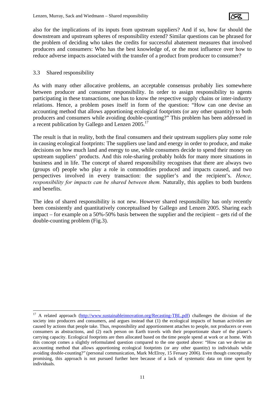

also for the implications of its inputs from upstream suppliers? And if so, how far should the downstream and upstream spheres of responsibility extend? Similar questions can be phrased for the problem of deciding who takes the credits for successful abatement measures that involved producers and consumers: Who has the best knowledge of, or the most influence over how to reduce adverse impacts associated with the transfer of a product from producer to consumer?

#### <span id="page-13-0"></span>3.3 Shared responsibility

As with many other allocative problems, an acceptable consensus probably lies somewhere between producer and consumer responsibility. In order to assign responsibility to agents participating in these transactions, one has to know the respective supply chains or inter-industry relations. Hence, a problem poses itself in form of the question: "How can one devise an accounting method that allows apportioning ecological footprints (or any other quantity) to both producers and consumers while avoiding double-counting?" This problem has been addressed in a recent publication by Gallego and Lenzen 2005.[17](#page-13-1)

The result is that in reality, both the final consumers and their upstream suppliers play some role in causing ecological footprints: The suppliers use land and energy in order to produce, and make decisions on how much land and energy to use, while consumers decide to spend their money on upstream suppliers' products. And this role-sharing probably holds for many more situations in business and in life. The concept of shared responsibility recognises that there are always two (groups of) people who play a role in commodities produced and impacts caused, and two perspectives involved in every transaction: the supplier's and the recipient's. *Hence, responsibility for impacts can be shared between them.* Naturally, this applies to both burdens and benefits.

The idea of shared responsibility is not new. However shared responsibility has only recently been consistently and quantitatively conceptualised by Gallego and Lenzen 2005. Sharing each impact – for example on a 50%-50% basis between the supplier and the recipient – gets rid of the double-counting problem (Fig.3).

<span id="page-13-1"></span><sup>&</sup>lt;sup>17</sup> A related approach ([http://www.sustainableinnovation.org/Recasting-TBL.pdf\)](http://www.sustainableinnovation.org/Recasting-TBL.pdf) challenges the division of the society into producers and consumers, and argues instead that (1) the ecological impacts of human activities are caused by actions that people take. Thus, responsibility and apportionment attaches to people, not producers or even consumers as abstractions, and (2) each person on Earth travels with their proportionate share of the planet's carrying capacity. Ecological footprints are then allocated based on the time people spend at work or at home. With this concept comes a slightly reformulated question compared to the one quoted above: "How can we devise an accounting method that allows apportioning ecological footprints (or any other quantity) to individuals while avoiding double-counting?" (personal communication, Mark McElroy, 15 Feruary 2006). Even though conceptually promising, this approach is not pursued further here because of a lack of systematic data on time spent by individuals.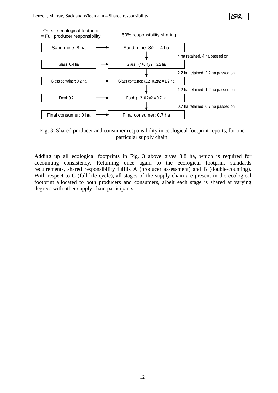

Fig. 3: Shared producer and consumer responsibility in ecological footprint reports, for one particular supply chain.

Adding up all ecological footprints in Fig. 3 above gives 8.8 ha, which is required for accounting consistency. Returning once again to the ecological footprint standards requirements, shared responsibility fulfils A (producer assessment) and B (double-counting). With respect to C (full life cycle), all stages of the supply-chain are present in the ecological footprint allocated to both producers and consumers, albeit each stage is shared at varying degrees with other supply chain participants.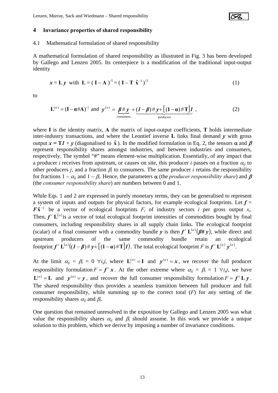$$
\mathscr{B}\!\!\!\!A
$$

#### **4 Invariance properties of shared responsibility**

#### 4.1 Mathematical formulation of shared responsibility

A mathematical formulation of shared responsibility as illustrated in Fig. 3 has been developed by Gallego and Lenzen 2005. Its centerpiece is a modification of the traditional input-output identity

$$
x = L y
$$
 with  $L = (I - A)^{-1} = (I - T \hat{x}^{-1})^{-1}$  (1)

to

$$
\mathbf{L}^{(\alpha)} = (\mathbf{I} - \boldsymbol{\alpha} \# \mathbf{A})^{-1} \text{ and } \mathbf{y}^{(\alpha)} = \underbrace{\boldsymbol{\beta} \# \mathbf{y}}_{\text{consumes}} + \underbrace{(\mathbf{I} - \boldsymbol{\beta}) \# \mathbf{y} + \left[ (\mathbf{1} - \boldsymbol{\alpha}) \# \mathbf{T} \right] \mathbf{I}}_{\text{produces}} ,
$$
 (2)

where **I** is the identity matrix, **A** the matrix of input-output coefficients, **T** holds intermediate inter-industry transactions, and where the Leontief inverse **L** links final demand *y* with gross output  $\mathbf{x} = \mathbf{T} \mathbf{I} + \mathbf{y}$  (diagonalised to  $\hat{\mathbf{x}}$ ). In the modified formulation in Eq. 2, the tensors  $\alpha$  and  $\beta$ represent responsibility shares amongst industries, and between industries and consumers, respectively. The symbol "#" means element-wise multiplication. Essentially, of any impact that a producer *i* receives from upstream, or causes on site, this producer *i* passes on a fraction  $\alpha_{ij}$  to other producers *j*, and a fraction  $\beta_i$  to consumers. The same producer *i* retains the responsibility for fractions  $1 - \alpha_{ij}$  and  $1 - \beta_i$ . Hence, the parameters  $\alpha$  (the *producer responsibility share*) and  $\beta$ (the *consumer responsibility share*) are numbers between 0 and 1.

<span id="page-15-0"></span>While Eqs. 1 and 2 are expressed in purely monetary terms, they can be generalised to represent a system of inputs and outputs for physical factors, for example ecological footprints. Let  $f =$  $\mathbf{F} \hat{\mathbf{x}}^{-1}$  be a vector of ecological footprints  $F_i$  of industry sectors *i* per gross output  $x_i$ . Then,  $f^{\dagger} L^{(\alpha)}$  is a vector of total ecological footprint intensities of commodities bought by final consumers, including responsibility shares in all supply chain links. The ecological footprint (scalar) of a final consumer with a commodity bundle *y* is then  $f^t L^{(\alpha)}(\beta \# y)$ , while direct and footprint  $f^t L^{(\alpha)}((I - \beta) \# y + [(1 - \alpha) \# T]I)$ . The total ecological footprint F is  $f^t L^{(\alpha)} y^{(\alpha)}$ . upstream producers of the same commodity bundle retain an ecological

At the limit  $\alpha_{ij} = \beta_i = 0 \ \forall i,j$ , where  $\mathbf{L}^{(\alpha)} = \mathbf{I}$  and  $\mathbf{y}^{(\alpha)} = \mathbf{x}$ , we recover the full producer responsibility formulation  $F = f^{\dagger} x$ . At the other extreme where  $\alpha_{ij} = \beta_i = 1 \ \forall i,j$ , we have  $\mathbf{L}^{(\alpha)} = \mathbf{L}$  and  $\mathbf{y}^{(\alpha)} = \mathbf{y}$ , and recover the full consumer responsibility formulation  $F = \mathbf{f}^{\dagger} \mathbf{L} \mathbf{y}$ . The shared responsibility thus provides a seamless transition between full producer and full consumer responsibility, while summing up to the correct total (*F*) for any setting of the responsibility shares  $\alpha_{ij}$  and  $\beta_i$ .

One question that remained unresolved in the exposition by Gallego and Lenzen 2005 was what value the responsibility shares  $\alpha_{ij}$  and  $\beta_i$  should assume. In this work we provide a unique solution to this problem, which we derive by imposing a number of invariance conditions.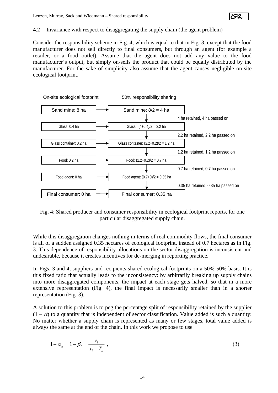$$
\mathscr{B}\!\!\!\!\!Z
$$

<span id="page-16-0"></span>4.2 Invariance with respect to disaggregating the supply chain (the agent problem)

Consider the responsibility scheme in Fig. 4, which is equal to that in Fig. 3, except that the food manufacturer does not sell directly to final consumers, but through an agent (for example a retailer, or a food outlet). Assume that the agent does not add any value to the food manufacturer's output, but simply on-sells the product that could be equally distributed by the manufacturer. For the sake of simplicity also assume that the agent causes negligible on-site ecological footprint.



Fig. 4: Shared producer and consumer responsibility in ecological footprint reports, for one particular disaggregated supply chain.

While this disaggregation changes nothing in terms of real commodity flows, the final consumer is all of a sudden assigned 0.35 hectares of ecological footprint, instead of 0.7 hectares as in Fig. 3. This dependence of responsibility allocations on the sector disaggregation is inconsistent and undesirable, because it creates incentives for de-merging in reporting practice.

In Figs. 3 and 4, suppliers and recipients shared ecological footprints on a 50%-50% basis. It is this fixed ratio that actually leads to the inconsistency: by arbitrarily breaking up supply chains into more disaggregated components, the impact at each stage gets halved, so that in a more extensive representation (Fig. 4), the final impact is necessarily smaller than in a shorter representation (Fig. 3).

A solution to this problem is to peg the percentage split of responsibility retained by the supplier  $(1 - \alpha)$  to a quantity that is independent of sector classification. Value added is such a quantity: No matter whether a supply chain is represented as many or few stages, total value added is always the same at the end of the chain. In this work we propose to use

$$
1 - \alpha_{ij} = 1 - \beta_i = \frac{v_i}{x_i - T_{ii}} \tag{3}
$$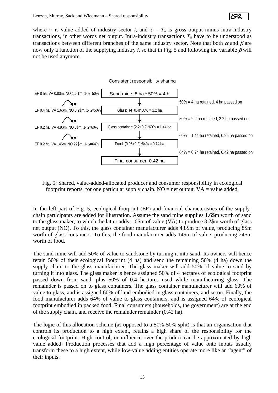

where  $v_i$  is value added of industry sector *i*, and  $x_i - T_{ii}$  is gross output minus intra-industry transactions, in other words net output. Intra-industry transactions  $T_{ii}$  have to be understood as transactions between different branches of the same industry sector. Note that both  $\alpha$  and  $\beta$  are now only a function of the supplying industry *i*, so that in Fig. 5 and following the variable  $\beta$  will not be used anymore.



Fig. 5: Shared, value-added-allocated producer and consumer responsibility in ecological footprint reports, for one particular supply chain.  $NO = net$  output,  $VA = value$  added.

In the left part of Fig. 5, ecological footprint (EF) and financial characteristics of the supplychain participants are added for illustration. Assume the sand mine supplies 1.6\$m worth of sand to the glass maker, to which the latter adds 1.6\$m of value (VA) to produce 3.2\$m worth of glass net output (NO). To this, the glass container manufacturer adds 4.8\$m of value, producing 8\$m worth of glass containers. To this, the food manufacturer adds 14\$m of value, producing 24\$m worth of food.

The sand mine will add 50% of value to sandstone by turning it into sand. Its owners will hence retain 50% of their ecological footprint (4 ha) and send the remaining 50% (4 ha) down the supply chain to the glass manufacturer. The glass maker will add 50% of value to sand by turning it into glass. The glass maker is hence assigned 50% of 4 hectares of ecological footprint passed down from sand, plus 50% of 0.4 hectares used while manufacturing glass. The remainder is passed on to glass containers. The glass container manufacturer will add 60% of value to glass, and is assigned 60% of land embodied in glass containers, and so on. Finally, the food manufacturer adds 64% of value to glass containers, and is assigned 64% of ecological footprint embodied in packed food. Final consumers (households, the government) are at the end of the supply chain, and receive the remainder remainder (0.42 ha).

The logic of this allocation scheme (as opposed to a 50%-50% split) is that an organisation that controls its production to a high extent, retains a high share of the responsibility for the ecological footprint. High control, or influence over the product can be approximated by high value added: Production processes that add a high percentage of value onto inputs usually transform these to a high extent, while low-value adding entities operate more like an "agent" of their inputs.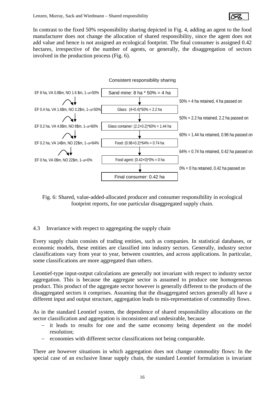

In contrast to the fixed 50% responsibility sharing depicted in Fig. 4, adding an agent to the food manufacturer does not change the allocation of shared responsibility, since the agent does not add value and hence is not assigned an ecological footprint. The final consumer is assigned 0.42 hectares, irrespective of the number of agents, or generally, the disaggregation of sectors involved in the production process (Fig. 6).



Fig. 6: Shared, value-added-allocated producer and consumer responsibility in ecological footprint reports, for one particular disaggregated supply chain.

#### <span id="page-18-0"></span>Invariance with respect to aggregating the supply chain 4.3

Every supply chain consists of trading entities, such as companies. In statistical databases, or economic models, these entities are classified into industry sectors. Generally, industry sector classifications vary from year to year, between countries, and across applications. In particular, some classifications are more aggregated than others.

Leontief-type input-output calculations are generally not invariant with respect to industry sector aggregation. This is because the aggregate sector is assumed to produce one homogeneous product. This product of the aggregate sector however is generally different to the products of the disaggregated sectors it comprises. Assuming that the disaggregated sectors generally all have a different input and output structure, aggregation leads to mis-representation of commodity flows.

As in the standard Leontief system, the dependence of shared responsibility allocations on the sector classification and aggregation is inconsistent and undesirable, because

- − it leads to results for one and the same economy being dependent on the model resolution;
- − economies with different sector classifications not being comparable.

There are however situations in which aggregation does not change commodity flows: In the special case of an exclusive linear supply chain, the standard Leontief formulation is invariant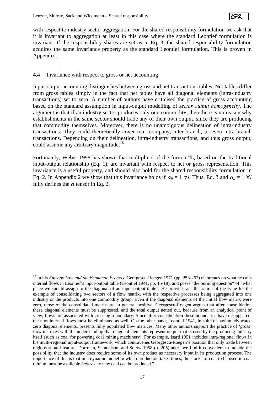

with respect to industry sector aggregation. For the shared responsibility formulation we ask that it is invariant to aggregation at least in this case where the standard Leontief formulation is invariant. If the responsibility shares are set as in Eq. 3, the shared responsibility formulation acquires the same invariance property as the standard Leontief formulation. This is proven in Appendix 1.

#### 4.4 Invariance with respect to gross or net accounting

l

Input-output accounting distinguishes between gross and net transactions tables. Net tables differ from gross tables simply in the fact that net tables have all diagonal elements (intra-industry transactions) set to zero. A number of authors have criticised the practice of gross accounting based on the standard assumption in input-output modelling of *sector output homogeneity*. The argument is that if an industry sector produces only one commodity, then there is no reason why establishments in the same sector should trade any of their own output, since they are producing that commodity themselves. Moreover, there is no unambiguous delineation of intra-industry transactions: They could theoretically cover inter-company, inter-branch, or even intra-branch transactions. Depending on their delineation, intra-industry transactions, and thus gross output, could assume any arbitrary magnitude.<sup>18</sup>

Fortunately, Weber 1998 has shown that multipliers of the form  $x^{-1}L$ , based on the traditional input-output relationship  $(Eq. 1)$ , are invariant with respect to net or gross representation. This invariance is a useful property, and should also hold for the shared responsibility formulation in Eq. 2. In Appendix 2 we show that this invariance holds if  $\alpha_{ii} = 1 \ \forall i$ . Thus, Eq. 3 and  $\alpha_{ii} = 1 \ \forall i$ fully defines the  $\alpha$  tensor in Eq. 2.

<span id="page-19-0"></span><sup>&</sup>lt;sup>18</sup> In his *Entropy Law and the Economic Process*, Georgescu-Roegen 1971 (pp. 253-262) elaborates on what he calls internal flows in Leontief's input-output table (Leontief 1941, pp. 15-18), and poses "the burning question" of "what place we should assign to the diagonal of an input-output table". He provides an illustration of the issue for the example of consolidating two sectors of a flow matrix, with the respective processes being aggregated into one industry or the products into one commodity group: Even if the diagonal elements of the initial flow matrix were zero, those of the consolidated matrix are in general positive. Georgescu-Roegen argues that after consolidation these diagonal elements must be suppressed, and the total output netted out, because from an analytical point of view, flows are associated with crossing a boundary. Since after consolidation these boundaries have disappeared, the now internal flows must be eliminated as well. On the other hand, Leontief 1941, in spite of having advocated zero diagonal elements, presents fully populated flow matrices. Many other authors support the practice of 'gross' flow matrices with the understanding that diagonal elements represent output that is used by the producing industry itself (such as coal for powering coal mining machinery). For example, Isard 1951 includes intra-regional flows in his multi-regional input-output framework, which contravenes Georgescu-Roegen's position that only trade between regions should feature. Dorfman, Samuelson, and Solow 1958 (p. 205) add: "we find it convenient to include the possibility that the industry does require some of its own product as necessary input in its production process. The importance of this is that in a dynamic model in which production takes times, the stocks of coal to be used in coal mining must be available *before* any new coal can be produced."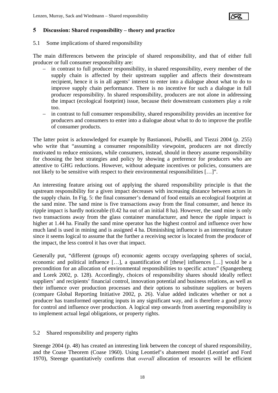

#### **5 Discussion: Shared responsibility – theory and practice**

#### 5.1 Some implications of shared responsibility

The main differences between the principle of shared responsibility, and that of either full producer or full consumer responsibility are:

- in contrast to full producer responsibility, in shared responsibility, every member of the supply chain is affected by their upstream supplier and affects their downstream recipient, hence it is in all agents' interest to enter into a dialogue about what to do to improve supply chain performance. There is no incentive for such a dialogue in full producer responsibility. In shared responsibility, producers are not alone in addressing the impact (ecological footprint) issue, because their downstream customers play a role too.
- in contrast to full consumer responsibility, shared responsibility provides an incentive for producers and consumers to enter into a dialogue about what to do to improve the profile of consumer products.

The latter point is acknowledged for example by Bastianoni, Pulselli, and Tiezzi 2004 (p. 255) who write that "assuming a consumer responsibility viewpoint, producers are not directly motivated to reduce emissions, while consumers, instead, should in theory assume responsibility for choosing the best strategies and policy by showing a preference for producers who are attentive to GHG reductions. However, without adequate incentives or policies, consumers are not likely to be sensitive with respect to their environmental responsibilities […]".

An interesting feature arising out of applying the shared responsibility principle is that the upstream responsibility for a given impact decreases with increasing distance between actors in the supply chain. In Fig. 5: the final consumer's demand of food entails an ecological footprint at the sand mine. The sand mine is five transactions away from the final consumer, and hence its ripple impact is hardly noticeable (0.42 ha out of an initial 8 ha). However, the sand mine is only two transactions away from the glass container manufacturer, and hence the ripple impact is higher at 1.44 ha. Finally the sand mine operator has the highest control and influence over how much land is used in mining and is assigned 4 ha. Diminishing influence is an interesting feature since it seems logical to assume that the further a receiving sector is located from the producer of the impact, the less control it has over that impact.

Generally put, "different (groups of) economic agents occupy overlapping spheres of social, economic and political influence […], a quantification of [these] influences […] would be a precondition for an allocation of environmental responsibilities to specific actors" (Spangenberg and Lorek 2002, p. 128). Accordingly, choices of responsibility shares should ideally reflect suppliers' and recipients' financial control, innovation potential and business relations, as well as their influence over production processes and their options to substitute suppliers or buyers (compare Global Reporting Initiative 2002, p. 26). Value added indicates whether or not a producer has transformed operating inputs in any significant way, and is therefore a good proxy for control and influence over production. A logical step onwards from asserting responsibility is to implement actual legal obligations, or property rights.

#### 5.2 Shared responsibility and property rights

Steenge 2004 (p. 48) has created an interesting link between the concept of shared responsibility, and the Coase Theorem (Coase 1960). Using Leontief's abatement model (Leontief and Ford 1970), Steenge quantitatively confirms that *overall* allocation of resources will be efficient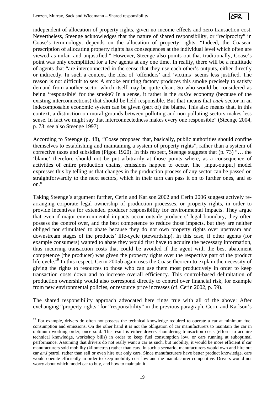independent of allocation of property rights, given no income effects and zero transaction cost. Nevertheless, Steenge acknowledges that the nature of shared responsibility, or "reciprocity" in Coase's terminology, depends on the allocation of property rights: "Indeed, the Coasean prescription of allocating property rights has consequences at the individual level which often are viewed as unfair and unjustified." However, Steenge also points out that traditionally, Coase's point was only exemplified for a few agents at any one time. In reality, there will be a multitude of agents that "are interconnected in the sense that they use each other's outputs, either directly or indirectly. In such a context, the idea of 'offenders' and 'victims' seems less justified. The reason is not difficult to see: A smoke emitting factory produces this smoke precisely to satisfy demand from another sector which itself may be quite clean. So who would be considered as being 'responsible' for the smoke? In a sense, it rather is the *entire* economy (because of the existing interconnections) that should be held responsible. But that means that *each* sector in an indecomposable economic system can be given (part of) the blame. This also means that, in this context, a distinction on moral grounds between polluting and non-polluting sectors makes less sense. In fact we might say that interconnectedness makes every one responsible" (Steenge 2004, p. 73; see also Steenge 1997).

According to Steenge (p. 48), "Coase proposed that, basically, public authorities should confine themselves to establishing and maintaining a system of property rights", rather than a system of corrective taxes and subsidies (Pigou 1920). In this respect, Steenge suggests that (p. 73) "… the 'blame' therefore should not be put arbitrarily at those points where, as a consequence of activities of entire production chains, emissions happen to occur. The [input-output] model expresses this by telling us that changes in the production process of any sector can be passed on straightforwardly to the next sectors, which in their turn can pass it on to further ones, and so on."

Taking Steenge's argument further, Cerin and Karlson 2002 and Cerin 2006 suggest actively rearranging corporate legal ownership of production processes, or property rights, in order to provide incentives for extended producer responsibility for environmental impacts. They argue that even if major environmental impacts occur outside producers' legal boundary, they often possess the control over, and the best competence to reduce those impacts, but they are neither obliged nor stimulated to abate because they do not own property rights over upstream and downstream stages of the products' life-cycle (stewardship). In this case, if other agents (for example consumers) wanted to abate they would first have to acquire the necessary information, thus incurring transaction costs that could be avoided if the agent with the best abatement competence (the producer) was given the property rights over the respective part of the product life cycle.<sup>19</sup> In this respect, Cerin 2005b again uses the Coase theorem to explain the necessity of giving the rights to resources to those who can use them most productively in order to keep transaction costs down and to increase overall efficiency. This control-based delimitation of production ownership would also correspond directly to control over financial risk, for example from new environmental policies, or resource price increases (cf. Cerin 2002, p. 59).

The shared responsibility approach advocated here rings true with all of the above: After exchanging "property rights" for "responsibility" in the previous paragraph, Cerin and Karlson's

<span id="page-21-0"></span><sup>&</sup>lt;sup>19</sup> For example, drivers do often not possess the technical knowledge required to operate a car at minimum fuel consumption and emissions. On the other hand it is not the obligation of car manufacturers to maintain the car in optimum working order, once sold. The result is either drivers shouldering transaction costs (efforts to acquire technical knowledge, workshop bills) in order to keep fuel consumption low, or cars running at suboptimal performance. Assuming that drivers do not really want a car as such, but mobility, it would be more efficient if car manufacturers sold mobility (kilometres) rather than cars. In such a scenario, manufacturers would own and hire out car *and* petrol, rather than sell or even hire out only cars. Since manufacturers have better product knowledge, cars would operate efficiently in order to keep mobility cost low and the manufacturer competitive. Drivers would not worry about which model car to buy, and how to maintain it.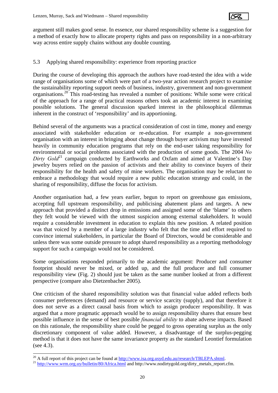

argument still makes good sense. In essence, our shared responsibility scheme is a suggestion for a method of exactly how to allocate property rights and pass on responsibility in a non-arbitrary way across entire supply chains without any double counting.

#### <span id="page-22-2"></span>5.3 Applying shared responsibility: experience from reporting practice

During the course of developing this approach the authors have road-tested the idea with a wide range of organisations some of which were part of a two-year action research project to examine the sustainability reporting support needs of business, industry, government and non-government organisations.[20](#page-22-0) This road-testing has revealed a number of positions: While some were critical of the approach for a range of practical reasons others took an academic interest in examining possible solutions. The general discussion sparked interest in the philosophical dilemmas inherent in the construct of 'responsibility' and its apportioning.

Behind several of the arguments was a practical consideration of cost in time, money and energy associated with stakeholder education or re-education. For example a non-government organisation with an interest in bringing about change through buyer activism may have invested heavily in community education programs that rely on the end-user taking responsibility for environmental or social problems associated with the production of some goods. The 2004 *No Dirty Gold*<sup>21</sup> campaign conducted by Earthworks and Oxfam and aimed at Valentine's Day jewelry buyers relied on the passion of activists and their ability to convince buyers of their responsibility for the health and safety of mine workers. The organisation may be reluctant to embrace a methodology that would require a new public education strategy and could, in the sharing of responsibility, diffuse the focus for activism.

Another organisation had, a few years earlier, begun to report on greenhouse gas emissions, accepting full upstream responsibility, and publicising abatement plans and targets. A new approach that provided a distinct drop in emissions and assigned some of the 'blame' to others they felt would be viewed with the utmost suspicion among external stakeholders. It would require a considerable investment in education to explain this new position. A related position was that voiced by a member of a large industry who felt that the time and effort required to convince internal stakeholders, in particular the Board of Directors, would be considerable and unless there was some outside pressure to adopt shared responsibility as a reporting methodology support for such a campaign would not be considered.

Some organisations responded primarily to the academic argument: Producer and consumer footprint should never be mixed, or added up, and the full producer and full consumer responsibility view (Fig. 2) should just be taken as the same number looked at from a different perspective (compare also Dietzenbacher 2005).

One criticism of the shared responsibility solution was that financial value added reflects both consumer preferences (demand) and resource or service scarcity (supply), and that therefore it does not serve as a direct causal basis from which to assign producer responsibility. It was argued that a more pragmatic approach would be to assign responsibility shares that ensure best possible influence in the sense of best possible *financial ability* to abate adverse impacts. Based on this rationale, the responsibility share could be pegged to gross operating surplus as the only discretionary component of value added. However, a disadvantage of the surplus-pegging method is that it does not have the same invariance property as the standard Leontief formulation (see [4.3\)](#page-18-0).

<span id="page-22-1"></span>

<span id="page-22-0"></span><sup>&</sup>lt;sup>20</sup> A full report of this project can be found at  $\frac{http://www.isa.org.usyd.edu.au/research/TELEPA.shtml}{http://www.wrm.org.uy/bullet_in/80/Africa.html}$  and [http://www.nodirtygold.org/dirty\\_metals\\_report.cfm](http://www.nodirtygold.org/dirty_metals_report.cfm).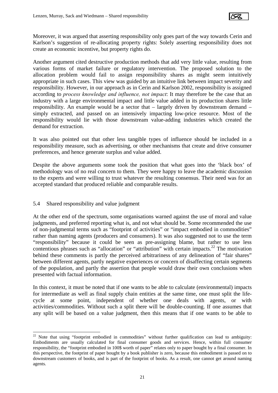

Moreover, it was argued that asserting responsibility only goes part of the way towards Cerin and Karlson's suggestion of re-allocating property rights: Solely asserting responsibility does not create an economic incentive, but property rights do.

Another argument cited destructive production methods that add very little value, resulting from various forms of market failure or regulatory intervention. The proposed solution to the allocation problem would fail to assign responsibility shares as might seem intuitively appropriate in such cases. This view was guided by an intuitive link between impact severity and responsibility. However, in our approach as in Cerin and Karlson 2002, responsibility is assigned according to *process knowledge and influence, not impact*: It may therefore be the case that an industry with a large environmental impact and little value added in its production shares little responsibility. An example would be a sector that – largely driven by downstream demand – simply extracted, and passed on an intensively impacting low-price resource. Most of the responsibility would lie with those downstream value-adding industries which created the demand for extraction.

It was also pointed out that other less tangible types of influence should be included in a responsibility measure, such as advertising, or other mechanisms that create and drive consumer preferences, and hence generate surplus and value added.

Despite the above arguments some took the position that what goes into the 'black box' of methodology was of no real concern to them. They were happy to leave the academic discussion to the experts and were willing to trust whatever the resulting consensus. Their need was for an accepted standard that produced reliable and comparable results.

#### 5.4 Shared responsibility and value judgment

At the other end of the spectrum, some organisations warned against the use of moral and value judgments, and preferred reporting what is, and not what should be. Some recommended the use of non-judgmental terms such as "footprint of activities" or "impact embodied in commodities" rather than naming agents (producers and consumers). It was also suggested not to use the term "responsibility" because it could be seen as pre-assigning blame, but rather to use less contentious phrases such as "allocation" or "attribution" with certain impacts.<sup>22</sup> The motivation behind these comments is partly the perceived arbitrariness of any delineation of "fair shares" between different agents, partly negative experiences or concern of disaffecting certain segments of the population, and partly the assertion that people would draw their own conclusions when presented with factual information.

In this context, it must be noted that if one wants to be able to calculate (environmental) impacts for intermediate as well as final supply chain entities at the same time, one must split the lifecycle at some point, independent of whether one deals with agents, or with activities/commodities. Without such a split there will be double-counting. If one assumes that any split will be based on a value judgment, then this means that if one wants to be able to

<span id="page-23-0"></span><sup>&</sup>lt;sup>22</sup> Note that using "footprint embodied in commodities" without further qualification can lead to ambiguity: Embodiments are usually calculated for final consumer goods and services. Hence, within full consumer responsibility, the "footprint embodied in 100\$ worth of paper" relates only to paper bought by a final consumer. In this perspective, the footprint of paper bought by a book publisher is zero, because this embodiment is passed on to downstream customers of books, and is part of the footprint of books. As a result, one cannot get around naming agents.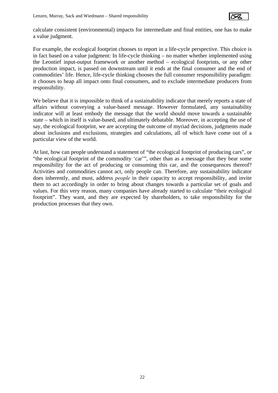

calculate consistent (environmental) impacts for intermediate and final entities, one has to make a value judgment.

For example, the ecological footprint chooses to report in a life-cycle perspective. This choice is in fact based on a value judgment: In life-cycle thinking – no matter whether implemented using the Leontief input-output framework or another method – ecological footprints, or any other production impact, is passed on downstream until it ends at the final consumer and the end of commodities' life. Hence, life-cycle thinking chooses the full consumer responsibility paradigm: it chooses to heap all impact onto final consumers, and to exclude intermediate producers from responsibility.

We believe that it is impossible to think of a sustainability indicator that merely reports a state of affairs without conveying a value-based message. However formulated, any sustainability indicator will at least embody the message that the world should move towards a sustainable state – which in itself is value-based, and ultimately debatable. Moreover, in accepting the use of say, the ecological footprint, we are accepting the outcome of myriad decisions, judgments made about inclusions and exclusions, strategies and calculations, all of which have come out of a particular view of the world.

At last, how can people understand a statement of "the ecological footprint of producing cars", or "the ecological footprint of the commodity 'car'", other than as a message that they bear some responsibility for the act of producing or consuming this car, and the consequences thereof? Activities and commodities cannot act, only people can. Therefore, any sustainability indicator does inherently, and must, address *people* in their capacity to accept responsibility, and invite them to act accordingly in order to bring about changes towards a particular set of goals and values. For this very reason, many companies have already started to calculate "their ecological footprint". They want, and they are expected by shareholders, to take responsibility for the production processes that they own.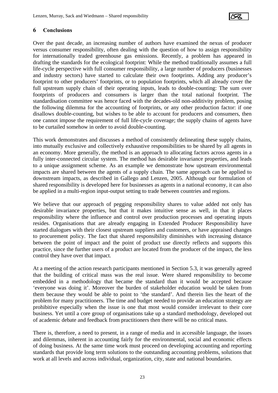### **6 Conclusions**

Over the past decade, an increasing number of authors have examined the nexus of producer versus consumer responsibility, often dealing with the question of how to assign responsibility for internationally traded greenhouse gas emissions. Recently, a problem has appeared in drafting the standards for the ecological footprint: While the method traditionally assumes a full life-cycle perspective with full consumer responsibility, a large number of producers (businesses and industry sectors) have started to calculate their own footprints. Adding any producer's footprint to other producers' footprints, or to population footprints, which all already cover the full upstream supply chain of their operating inputs, leads to double-counting: The sum over footprints of producers and consumers is larger than the total national footprint. The standardisation committee was hence faced with the decades-old non-additivity problem, posing the following dilemma for the accounting of footprints, or any other production factor: if one disallows double-counting, but wishes to be able to account for producers and consumers, then one cannot impose the requirement of full life-cycle coverage; the supply chains of agents have to be curtailed somehow in order to avoid double-counting.

This work demonstrates and discusses a method of consistently delineating these supply chains, into mutually exclusive and collectively exhaustive responsibilities to be shared by all agents in an economy. More generally, the method is an approach to allocating factors across agents in a fully inter-connected circular system. The method has desirable invariance properties, and leads to a unique assignment scheme. As an example we demonstrate how upstream environmental impacts are shared between the agents of a supply chain. The same approach can be applied to downstream impacts, as described in Gallego and Lenzen, 2005. Although our formulation of shared responsibility is developed here for businesses as agents in a national economy, it can also be applied in a multi-region input-output setting to trade between countries and regions.

We believe that our approach of pegging responsibility shares to value added not only has desirable invariance properties, but that it makes intuitive sense as well, in that it places responsibility where the influence and control over production processes and operating inputs resides. Organisations that are already engaging in Extended Producer Responsibility have started dialogues with their closest upstream suppliers and customers, or have appraised changes toprocurement policy. The fact that shared responsibility diminishes with increasing distance between the point of impact and the point of product use directly reflects and supports this practice, since the further users of a product are located from the producer of the impact, the less control they have over that impact.

At a meeting of the action research participants mentioned in Section [5.3,](#page-22-2) it was generally agreed that the building of critical mass was the real issue. Were shared responsibility to become embedded in a methodology that became the standard than it would be accepted because 'everyone was doing it'. Moreover the burden of stakeholder education would be taken from them because they would be able to point to 'the standard'. And therein lies the heart of the problem for many practitioners. The time and budget needed to provide an education strategy are prohibitive especially when the issue is one that most would consider irrelevant to their core business. Yet until a core group of organisations take up a standard methodology, developed out of academic debate and feedback from practitioners then there will be no critical mass.

There is, therefore, a need to present, in a range of media and in accessible language, the issues and dilemmas, inherent in accounting fairly for the environmental, social and economic effects of doing business. At the same time work must proceed on developing accounting and reporting standards that provide long term solutions to the outstanding accounting problems, solutions that work at all levels and across individual, organization, city, state and national boundaries.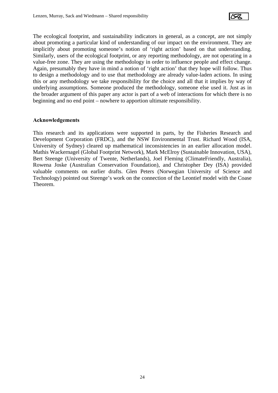

The ecological footprint, and sustainability indicators in general, as a concept, are not simply about promoting a particular kind of understanding of our impact on the environment. They are implicitly about promoting someone's notion of 'right action' based on that understanding. Similarly, users of the ecological footprint, or any reporting methodology, are not operating in a value-free zone. They are using the methodology in order to influence people and effect change. Again, presumably they have in mind a notion of 'right action' that they hope will follow. Thus to design a methodology and to use that methodology are already value-laden actions. In using this or any methodology we take responsibility for the choice and all that it implies by way of underlying assumptions. Someone produced the methodology, someone else used it. Just as in the broader argument of this paper any actor is part of a web of interactions for which there is no beginning and no end point – nowhere to apportion ultimate responsibility.

#### **Acknowledgements**

This research and its applications were supported in parts, by the Fisheries Research and Development Corporation (FRDC), and the NSW Environmental Trust. Richard Wood (ISA, University of Sydney) cleared up mathematical inconsistencies in an earlier allocation model. Mathis Wackernagel (Global Footprint Network), Mark McElroy (Sustainable Innovation, USA), Bert Steenge (University of Twente, Netherlands), Joel Fleming (ClimateFriendly, Australia), Rowena Joske (Australian Conservation Foundation), and Christopher Dey (ISA) provided valuable comments on earlier drafts. Glen Peters (Norwegian University of Science and Technology) pointed out Steenge's work on the connection of the Leontief model with the Coase Theorem.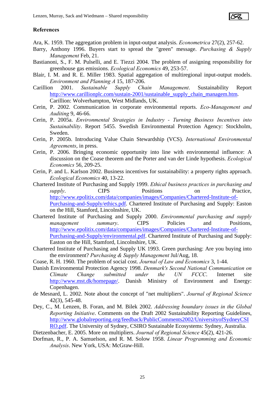

#### **References**

- Ara, K. 1959. The aggregation problem in input-output analysis. *Econometrica* 27(2), 257-62.
- Barry, Anthony 1996. Buyers start to spread the "green" message. *Purchasing & Supply Management* Feb, 21.
- Bastianoni, S., F. M. Pulselli, and E. Tiezzi 2004. The problem of assigning responsibility for greenhouse gas emissions. *Ecological Economics* 49, 253-57.
- Blair, I. M. and R. E. Miller 1983. Spatial aggregation of multiregional input-output models. *Environment and Planning A* 15, 187-206.
- Carillion 2001. *Sustainable Supply Chain Management*. Sustainability Report [http://www.carillionplc.com/sustain-2001/sustainable\\_supply\\_chain\\_managem.htm](http://www.carillionplc.com/sustain-2001/sustainable_supply_chain_managem.htm). Carillion: Wolverhampton, West Midlands, UK.
- Cerin, P. 2002. Communication in corporate environmental reports. *Eco-Management and Auditing* 9, 46-66.
- Cerin, P. 2005a. *Environmental Strategies in Industry Turning Business Incentives into Sustainability*. Report 5455. Swedish Environmental Protection Agency: Stockholm, Sweden.
- Cerin, P. 2005b. Introducing Value Chain Stewardship (VCS). *International Environmental Agreements*, in press.
- Cerin, P. 2006. Bringing economic opportunity into line with environmental influence: A discussion on the Coase theorem and the Porter and van der Linde hypothesis. *Ecological Economics* 56, 209-25.
- Cerin, P. and L. Karlson 2002. Business incentives for sustainability: a property rights approach. *Ecological Economics* 40, 13-22.
- Chartered Institute of Purchasing and Supply 1999. *Ethical business practices in purchasing and supply*. CIPS Positions on Practice, [http://www.epolitix.com/data/companies/images/Companies/Chartered-Institute-of-](http://www.epolitix.com/data/companies/images/Companies/Chartered-Institute-of-Purchasing-and-Supply/ethics.pdf)[Purchasing-and-Supply/ethics.pdf.](http://www.epolitix.com/data/companies/images/Companies/Chartered-Institute-of-Purchasing-and-Supply/ethics.pdf) Chartered Institute of Purchasing and Supply: Easton on the Hill, Stamford, Lincolnshire, UK.
- Chartered Institute of Purchasing and Supply 2000. *Environmental purchasing and supply management summary*. CIPS Policies and Positions, [http://www.epolitix.com/data/companies/images/Companies/Chartered-Institute-of-](http://www.epolitix.com/data/companies/images/Companies/Chartered-Institute-of-Purchasing-and-Supply/environmental.pdf)[Purchasing-and-Supply/environmental.pdf.](http://www.epolitix.com/data/companies/images/Companies/Chartered-Institute-of-Purchasing-and-Supply/environmental.pdf) Chartered Institute of Purchasing and Supply: Easton on the Hill, Stamford, Lincolnshire, UK.
- Chartered Institute of Purchasing and Supply UK 1993. Green purchasing: Are you buying into the environment? *Purchasing & Supply Management* Jul/Aug, 18.
- Coase, R. H. 1960. The problem of social cost. *Journal of Law and Economics* 3, 1-44.
- Danish Environmental Protection Agency 1998. *Denmark's Second National Communication on Climate Change submitted under the UN FCCC*. Internet site [http://www.mst.dk/homepage/.](http://www.mst.dk/homepage/) Danish Ministry of Environment and Energy: Copenhagen.
- de Mesnard, L. 2002. Note about the concept of "net multipliers". *Journal of Regional Science* 42(3), 545-48.
- Dey, C., M. Lenzen, B. Foran, and M. Bilek 2002. *Addressing boundary issues in the Global Reporting Initiative*. Comments on the Draft 2002 Sustainability Reporting Guidelines, [http://www.globalreporting.org/feedback/PublicComments2002/UniversityofSydneyCSI](http://www.globalreporting.org/feedback/PublicComments2002/UniversityofSydneyCSIRO.pdf) [RO.pdf](http://www.globalreporting.org/feedback/PublicComments2002/UniversityofSydneyCSIRO.pdf). The University of Sydney, CSIRO Sustainable Ecosystems: Sydney, Australia.
- Dietzenbacher, E. 2005. More on multipliers. *Journal of Regional Science* 45(2), 421-26.
- Dorfman, R., P. A. Samuelson, and R. M. Solow 1958. *Linear Programming and Economic Analysis*. New York, USA: McGraw-Hill.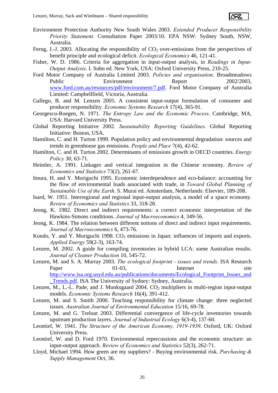- Environment Protection Authority New South Wales 2003. *Extended Producer Responsibility Priority Statement*. Consultation Paper 2003/10. EPA NSW: Sydney South, NSW, Australia.
- Ferng, J.-J. 2003. Allocating the responsibility of  $CO<sub>2</sub>$  over-emissions from the perspectives of benefit principle and ecological deficit. *Ecological Economics* 46, 121-41.
- Fisher, W. D. 1986. Criteria for aggregation in input-output analysis, in *Readings in Input-Output Analysis*. I. Sohn ed. New York, USA: Oxford University Press, 210-25.
- Ford Motor Company of Australia Limited 2003. *Policies and organisation*. Broadmeadows Public Environment Report 2002/2003, [www.ford.com.au/resources/pdf/environment/7.pdf.](http://www.ford.com.au/resources/pdf/environment/7.pdf) Ford Motor Company of Australia Limited: Campbellfield, Victoria, Australia.
- Gallego, B. and M. Lenzen 2005. A consistent input-output formulation of consumer and producer responsibility. *Economic Systems Research* 17(4), 365-91.
- Georgescu-Roegen, N. 1971. *The Entropy Law and the Economic Process*. Cambridge, MA, USA: Harvard University Press.
- Global Reporting Initiative 2002. *Sustainability Reporting Guidelines*. Global Reporting Initiative: Boston, USA.
- Hamilton, C. and H. Turton 1999. Population policy and environmental degradation: sources and trends in greenhouse gas emissions. *People and Place* 7(4), 42-62.
- Hamilton, C. and H. Turton 2002. Determinants of emissions growth in OECD countries. *Energy Policy* 30, 63-71.
- Heimler, A. 1991. Linkages and vertical integration in the Chinese economy. *Review of Economics and Statistics* 73(2), 261-67.
- Imura, H. and Y. Moriguchi 1995. Economic interdependence and eco-balance: accounting for the flow of environmental loads associated with trade, in *Toward Global Planning of Sustainable Use of the Earth*. S. Murai ed. Amsterdam, Netherlands: Elsevier, 189-208.
- Isard, W. 1951. Interregional and regional input-output analysis, a model of a space economy. *Review of Economics and Statistics* 33, 318-28.
- Jeong, K. 1982. Direct and indirect requirements: a correct economic interpretation of the Hawkins-Simons conditions. *Journal of Macroeconomics* 4, 349-56.
- Jeong, K. 1984. The relation between different notions of direct and indirect input requirements. *Journal of Macroeconomics* 6, 473-76.
- Kondo, Y. and Y. Moriguchi 1998.  $CO<sub>2</sub>$  emissions in Japan: influences of imports and exports. *Applied Energy* 59(2-3), 163-74.
- Lenzen, M. 2002. A guide for compiling inventories in hybrid LCA: some Australian results. *Journal of Cleaner Production* 10, 545-72.
- Lenzen, M. and S. A. Murray 2003. *The ecological footprint issues and trends*. ISA Research Paper 01-03, Internet site http://www.isa.org.usyd.edu.au/publications/documents/Ecological Footprint Issues and [\\_Trends.pdf.](http://www.isa.org.usyd.edu.au/publications/documents/Ecological_Footprint_Issues_and_Trends.pdf) ISA The University of Sydney: Sydney, Australia.
- Lenzen, M., L.-L. Pade, and J. Munksgaard  $2004$ .  $CO<sub>2</sub>$  multipliers in multi-region input-output models. *Economic Systems Research* 16(4), 391-412.
- Lenzen, M. and S. Smith 2000. Teaching responsibility for climate change: three neglected issues. *Australian Journal of Environmental Education* 15/16, 69-78.
- Lenzen, M. and G. Treloar 2003. Differential convergence of life-cycle inventories towards upstream production layers. *Journal of Industrial Ecology* 6(3-4), 137-60.
- Leontief, W. 1941. *The Structure of the American Economy, 1919-1939*. Oxford, UK: Oxford University Press.
- Leontief, W. and D. Ford 1970. Environmental repercussions and the economic structure: an input-output approach. *Review of Economics and Statistics* 52(3), 262-71.
- Lloyd, Michael 1994. How green are my suppliers? Buying environmental risk. *Purchasing & Supply Management* Oct, 36.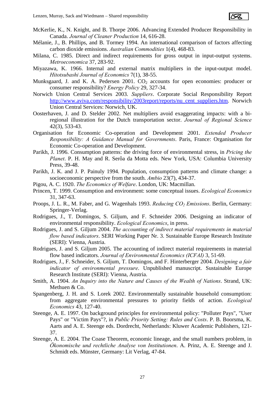- McKerlie, K., N. Knight, and B. Thorpe 2006. Advancing Extended Producer Responsibility in Canada. *Journal of Cleaner Production* 14, 616-28.
- Mélanie, J., B. Phillips, and B. Tormey 1994. An international comparison of factors affecting carbon dioxide emissions. *Australian Commodities* 1(4), 468-83.
- Milana, C. 1985. Direct and indirect requirements for gross output in input-output systems. *Metroeconomica* 37, 283-92.
- Miyazawa, K. 1966. Internal and external matrix multipliers in the input-output model. *Hitotsubashi Journal of Economics* 7(1), 38-55.
- Munksgaard, J. and K. A. Pedersen  $2001$ .  $CO<sub>2</sub>$  accounts for open economies: producer or consumer responsibility? *Energy Policy* 29, 327-34.
- Norwich Union Central Services 2003. *Suppliers*. Corporate Social Responsibility Report [http://www.aviva.com/responsibility/2003report/reports/nu\\_cent\\_suppliers.htm.](http://www.aviva.com/responsibility/2003report/reports/nu_cent_suppliers.htm) Norwich Union Central Services: Norwich, UK.
- Oosterhaven, J. and D. Stelder 2002. Net multipliers avoid exaggerating impacts: with a biregional illustration for the Dutch transportation sector. *Journal of Regional Science* 42(3), 533-43.
- Organisation for Economic Co-operation and Development 2001. *Extended Producer Responsibility: A Guidance Manual for Governments*. Paris, France: Organisation for Economic Co-operation and Development.
- Parikh, J. 1996. Consumption patterns: the driving force of environmental stress, in *Pricing the Planet*. P. H. May and R. Serôa da Motta eds. New York, USA: Columbia University Press, 39-48.
- Parikh, J. K. and J. P. Painuly 1994. Population, consumption patterns and climate change: a socioeconomic perspective from the south. *Ambio* 23(7), 434-37.
- Pigou, A. C. 1920. *The Economics of Welfare*. London, UK: Macmillan.
- Princen, T. 1999. Consumption and environment: some conceptual issues. *Ecological Economics* 31, 347-63.
- Proops, J. L. R., M. Faber, and G. Wagenhals 1993. *Reducing CO<sub>2</sub> Emissions*. Berlin, Germany: Springer-Verlag.
- Rodrigues, J., T. Domingos, S. Giljum, and F. Schneider 2006. Designing an indicator of environmental responsibility. *Ecological Economics*, in press.
- Rodrigues, J. and S. Giljum 2004. *The accounting of indirect material requirements in material flow based indicators*. SERI Working Paper Nr. 3. Sustainable Europe Research Institute (SERI): Vienna, Austria.
- Rodrigues, J. and S. Giljum 2005. The accounting of indirect material requirements in material flow based indicators. *Journal of Environmental Economics (ICFAI)* 3, 51-69.
- Rodrigues, J., F. Schneider, S. Giljum, T. Domingos, and F. Hinterberger 2004. *Designing a fair indicator of environmental pressure*. Unpublished manuscript. Sustainable Europe Research Institute (SERI): Vienna, Austria.
- Smith, A. 1904. *An Inquiry into the Nature and Causes of the Wealth of Nations*. Strand, UK: Methuen & Co.
- Spangenberg, J. H. and S. Lorek 2002. Environmentally sustainable household consumption: from aggregate environmental pressures to priority fields of action. *Ecological Economics* 43, 127-40.
- Steenge, A. E. 1997. On background principles for environmental policy: "Polluter Pays", "User Pays" or "Victim Pays"?, in *Public Priority Setting: Rules and Costs*. P. B. Boorsma, K. Aarts and A. E. Steenge eds. Dordrecht, Netherlands: Kluwer Academic Publishers, 121- 37.
- Steenge, A. E. 2004. The Coase Theorem, economic lineage, and the small numbers problem, in *Ökonomische und rechtliche Analyse von Institutionen*. A. Prinz, A. E. Steenge and J. Schmidt eds. Münster, Germany: Lit Verlag, 47-84.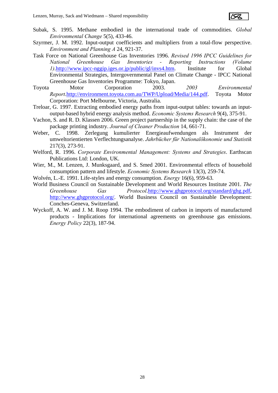

- Subak, S. 1995. Methane embodied in the international trade of commodities. *Global Environmental Change* 5(5), 433-46.
- Szyrmer, J. M. 1992. Input-output coefficients and multipliers from a total-flow perspective. *Environment and Planning A* 24, 921-37.
- Task Force on National Greenhouse Gas Inventories 1996. *Revised 1996 IPCC Guidelines for National Greenhouse Gas Inventories - Reporting Instructions (Volume 1)*.<http://www.ipcc-nggip.iges.or.jp/public/gl/invs4.htm>. Institute for Global Environmental Strategies, Intergovernmental Panel on Climate Change - IPCC National Greenhouse Gas Inventories Programme: Tokyo, Japan.
- Toyota Motor Corporation 2003. *2003 Environmental Report*[.http://environment.toyota.com.au/TWP/Upload/Media/144.pdf](http://environment.toyota.com.au/TWP/Upload/Media/144.pdf). Toyota Motor Corporation: Port Melbourne, Victoria, Australia.
- Treloar, G. 1997. Extracting embodied energy paths from input-output tables: towards an inputoutput-based hybrid energy analysis method. *Economic Systems Research* 9(4), 375-91.
- Vachon, S. and R. D. Klassen 2006. Green project partnership in the supply chain: the case of the package printing industry. *Journal of Cleaner Production* 14, 661-71.
- Weber, C. 1998. Zerlegung kumulierter Energieaufwendungen als Instrument der umweltorientierten Verflechtungsanalyse. *Jahrbücher für Nationalökonomie und Statistik* 217(3), 273-91.
- Welford, R. 1996. *Corporate Environmental Management: Systems and Strategies*. Earthscan Publications Ltd: London, UK.
- Wier, M., M. Lenzen, J. Munksgaard, and S. Smed 2001. Environmental effects of household consumption pattern and lifestyle. *Economic Systems Research* 13(3), 259-74.
- Wolvén, L.-E. 1991. Life-styles and energy consumption. *Energy* 16(6), 959-63.
- World Business Council on Sustainable Development and World Resources Institute 2001. *The Greenhouse Gas Protocol*.[http://www.ghgprotocol.org/standard/ghg.pdf,](http://www.ghgprotocol.org/standard/ghg.pdf) [http://www.ghgprotocol.org/.](http://www.ghgprotocol.org/) World Business Council on Sustainable Development: Conches-Geneva, Switzerland.
- Wyckoff, A. W. and J. M. Roop 1994. The embodiment of carbon in imports of manufactured products - Implications for international agreements on greenhouse gas emissions. *Energy Policy* 22(3), 187-94.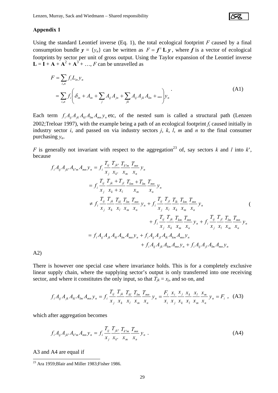$$
\mathcal{B}\!\!\!\!\!\!A
$$

#### **Appendix 1**

Using the standard Leontief inverse (Eq. 1), the total ecological footprint *F* caused by a final consumption bundle  $y = \{y_n\}$  can be written as  $F = f^{\dagger} L y$ , where f is a vector of ecological footprints by sector per unit of gross output. Using the Taylor expansion of the Leontief inverse  $\mathbf{L} = \mathbf{I} + \mathbf{A} + \mathbf{A}^2 + \mathbf{A}^3 + \dots$ , *F* can be unravelled as

$$
F = \sum_{i,n} f_i L_{in} y_n
$$
  
=  $\sum_{i,n} f_i \left( \delta_{in} + A_{in} + \sum_j A_{ij} A_{jn} + \sum_{jk} A_{ij} A_{jk} A_{kn} + \dots \right) y_n$  (A1)

Each term  $f_i A_{ij} A_{jk} A_{kl} A_{lm} A_{mn} y_n$ , etc. of the nested sum is called a structural path (Lenzen 2002;Treloar 1997), with the example being a path of an ecological footprint *f <sup>i</sup>* caused initially in industry sector *i*, and passed on via industry sectors *j*, *k*, *l*, *m* and *n* to the final consumer purchasing *yn*.

*F* is generally not invariant with respect to the aggregation<sup>23</sup> of, say sectors *k* and *l* into *k*', because

$$
f_{i}A_{ij}A_{jk'}A_{k'm}A_{mn}y_{n} = f_{i}\frac{T_{ij}}{x_{j}}\frac{T_{jk'}}{x_{k'}}\frac{T_{k'm}}{x_{m}}\frac{T_{mn}}{x_{n}}y_{n}
$$
  
\n
$$
= f_{i}\frac{T_{ij}}{x_{j}}\frac{T_{jk}+T_{jl}}{x_{k}+x_{l}}\frac{T_{km}+T_{lm}}{x_{m}}\frac{T_{mn}}{x_{n}}y_{n}
$$
  
\n
$$
\neq f_{i}\frac{T_{ij}}{x_{j}}\frac{T_{jk}}{x_{k}}\frac{T_{kl}}{x_{l}}\frac{T_{lm}}{x_{m}}\frac{T_{mn}}{x_{n}}y_{n} + f_{i}\frac{T_{ij}}{x_{j}}\frac{T_{jl}}{x_{l}}\frac{T_{lk}}{x_{k}}\frac{T_{km}}{x_{m}}\frac{T_{mn}}{x_{n}}y_{n}
$$
  
\n
$$
+ f_{i}\frac{T_{ij}}{x_{j}}\frac{T_{jk}}{x_{k}}\frac{T_{km}}{x_{m}}\frac{T_{mn}}{x_{n}}y_{n} + f_{i}\frac{T_{ij}}{x_{j}}\frac{T_{jk}}{x_{k}}\frac{T_{km}}{x_{m}}\frac{T_{mn}}{x_{n}}y_{n} + f_{i}\frac{T_{ij}}{x_{j}}\frac{T_{jl}}{x_{l}}\frac{T_{lm}}{x_{m}}\frac{T_{mn}}{x_{n}}y_{n}
$$
  
\n
$$
= f_{i}A_{ij}A_{jk}A_{kl}A_{lm}A_{mn}y_{n} + f_{i}A_{ij}A_{jl}A_{lk}A_{km}A_{mn}y_{n} + f_{i}A_{ij}A_{jl}A_{lm}A_{mn}y_{n}
$$

A2)

There is however one special case where invariance holds. This is for a completely exclusive linear supply chain, where the supplying sector's output is only transferred into one receiving sector, and where it constitutes the only input, so that  $T_{jk} = x_j$ , and so on, and

$$
f_i A_{ij} A_{jk} A_{kl} A_{lm} A_{mn} y_n = f_i \frac{T_{ij}}{x_j} \frac{T_{jk}}{x_k} \frac{T_{kl}}{x_l} \frac{T_{lm}}{x_m} \frac{T_{mn}}{x_n} y_n = \frac{F_i}{x_i} \frac{x_i}{x_j} \frac{x_j}{x_k} \frac{x_k}{x_l} \frac{x_l}{x_m} \frac{x_m}{x_n} y_n = F_i , \quad (A3)
$$

which after aggregation becomes

$$
f_i A_{ij} A_{jk'} A_{k'm} A_{mn} y_n = f_i \frac{T_{ij}}{x_j} \frac{T_{jk'}}{x_{k'}} \frac{T_{k'm}}{x_m} \frac{T_{mn}}{x_n} y_n .
$$
 (A4)

A3 and A4 are equal if

<span id="page-31-0"></span><sup>&</sup>lt;sup>23</sup> Ara 1959; Blair and Miller 1983; Fisher 1986.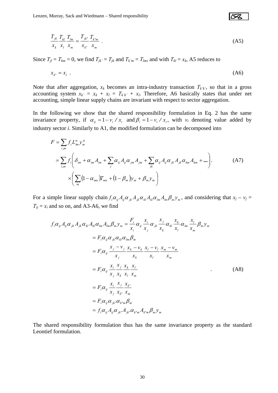Lenzen, Murray, Sack and Wiedmann – Shared responsibility

$$
\frac{T_{jk}}{x_k} \frac{T_{kl}}{x_l} \frac{T_{lm}}{x_m} = \frac{T_{jk'}}{x_{k'}} \frac{T_{k'm}}{x_m} \tag{A5}
$$

Since  $T_{jl} = T_{km} = 0$ , we find  $T_{jk'} = T_{jk}$  and  $T_{k'm} = T_{lm}$ , and with  $T_{kl} = x_k$ , A5 reduces to

$$
x_{k'} = x_l \tag{A6}
$$

Note that after aggregation,  $x_k$  becomes an intra-industry transaction  $T_{k'k'}$ , so that in a gross accounting system  $x_k$ ' =  $x_k + x_l$  =  $T_k$ '<sub>k</sub>' +  $x_l$ . Therefore, A6 basically states that under net accounting, simple linear supply chains are invariant with respect to sector aggregation.

In the following we show that the shared responsibility formulation in Eq. 2 has the same invariance property, if  $\alpha_{ii} = 1 - v_i / x_i$  and  $\beta_i = 1 - v_i / x_i$ , with  $v_i$  denoting value added by industry sector *i*. Similarly to A1, the modified formulation can be decomposed into

$$
F = \sum_{i,m} f_i L_{im}^{\alpha} y_m^{\alpha}
$$
  
= 
$$
\sum_{i,m} f_i \left( \delta_{im} + \alpha_{im} A_{im} + \sum_j \alpha_{ij} A_{ij} \alpha_{jm} A_{jm} + \sum_{jk} \alpha_{ij} A_{ij} \alpha_{jk} A_{jk} \alpha_{km} A_{km} + \dots \right).
$$
 (A7)  

$$
\times \left( \sum_m (1 - \alpha_{mn}) T_{mn} + (1 - \beta_m) y_m + \beta_m y_m \right)
$$

For a simple linear supply chain  $f_i \alpha_{ij} A_{ji} \alpha_{jk} A_{jk} \alpha_{kl} A_{kl} \alpha_{lm} A_{lm} \beta_m y_m$ , and considering that  $x_j - y_j =$  $T_{ij} = x_i$  and so on, and A3-A6, we find

$$
f_i \alpha_{ij} A_{jk} \alpha_{jk} A_{kk} \alpha_{lm} A_{lm} \beta_m y_m = \frac{F_i}{x_i} \alpha_{ij} \frac{x_i}{x_j} \alpha_{jk} \frac{x_j}{x_k} \alpha_{kl} \frac{x_k}{x_l} \alpha_{lm} \frac{x_l}{x_m} \beta_m y_m
$$
  
\n
$$
= F_i \alpha_{ij} \alpha_{jk} \alpha_{kl} \alpha_{lm} \beta_m
$$
  
\n
$$
= F_i \alpha_{ij} \frac{x_j - v_j}{x_j} \frac{x_k - v_k}{x_k} \frac{x_l - v_l}{x_l} \frac{x_m - v_m}{x_m}
$$
  
\n
$$
= F_i \alpha_{ij} \frac{x_i}{x_j} \frac{x_j}{x_k} \frac{x_k}{x_l} \frac{x_l}{x_m}
$$
  
\n
$$
= F_i \alpha_{ij} \frac{x_i}{x_j} \frac{x_j}{x_k} \frac{x_k}{x_l}
$$
  
\n
$$
= F_i \alpha_{ij} \frac{x_i}{x_j} \frac{x_j}{x_k} \frac{x_k}{x_m}
$$
  
\n
$$
= F_i \alpha_{ij} \alpha_{jk} \alpha_{k'm} \beta_m
$$
  
\n
$$
= f_i \alpha_{ij} A_{ij} \alpha_{jk} A_{jk} \alpha_{k'm} A_{k'm} \beta_m y_m
$$

The shared responsibility formulation thus has the same invariance property as the standard Leontief formulation.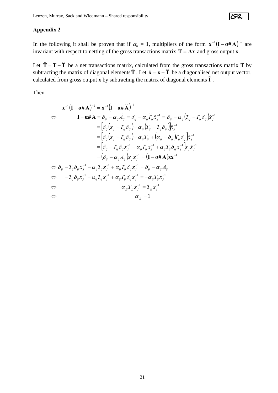#### **Appendix 2**

In the following it shall be proven that if  $\alpha_{jj} = 1$ , multipliers of the form  $\mathbf{x}^{-1}(\mathbf{I} - \mathbf{\alpha} \# \mathbf{A})^{-1}$  are invariant with respect to netting of the gross transactions matrix  $T = Ax$  and gross output **x**.

Let  $\tilde{T} = T - \hat{T}$  be a net transactions matrix, calculated from the gross transactions matrix **T** by subtracting the matrix of diagonal elements  $\hat{T}$ . Let  $\tilde{x} = x - \hat{T}$  be a diagonalised net output vector, calculated from gross output **x** by subtracting the matrix of diagonal elements  $\hat{T}$ .

Then

$$
\mathbf{x}^{-1}(\mathbf{I} - \boldsymbol{\alpha} \# \mathbf{A})^{-1} = \breve{\mathbf{x}}^{-1}(\mathbf{I} - \boldsymbol{\alpha} \# \breve{\mathbf{A}})^{-1}
$$
  
\n
$$
\Leftrightarrow \qquad \mathbf{I} - \boldsymbol{\alpha} \# \breve{\mathbf{A}} = \delta_{ij} - \alpha_{ij} \breve{A}_{ij} = \delta_{ij} - \alpha_{ij} \breve{T}_{ij} \breve{\mathbf{x}}_{j}^{-1} = \delta_{ij} - \alpha_{ij} (T_{ij} - T_{ij} \delta_{ij}) \breve{\mathbf{x}}_{j}^{-1}
$$
  
\n
$$
= [\delta_{ij} (x_{j} - T_{ij} \delta_{ij}) - \alpha_{ij} (T_{ij} - T_{ij} \delta_{ij})] \breve{\mathbf{x}}_{j}^{-1}
$$
  
\n
$$
= [\delta_{ij} (x_{j} - T_{ij} \delta_{ij}) - \alpha_{ij} T_{ij} + (\alpha_{ij} - \delta_{ij}) T_{ij} \delta_{ij} \breve{\mathbf{x}}_{j}^{-1}
$$
  
\n
$$
= [\delta_{ij} - T_{ij} \delta_{ij} x_{j}^{-1} - \alpha_{ij} T_{ij} x_{j}^{-1} + \alpha_{ij} T_{ij} \delta_{ij} x_{j}^{-1}] \mathbf{x}_{j} \breve{\mathbf{x}}_{j}^{-1}
$$
  
\n
$$
\Leftrightarrow \delta_{ij} - T_{ij} \delta_{ij} x_{j}^{-1} - \alpha_{ij} T_{ij} x_{j}^{-1} + \alpha_{ij} T_{ij} \delta_{ij} x_{j}^{-1} = \delta_{ij} - \alpha_{ij} A_{ij}
$$
  
\n
$$
\Leftrightarrow -T_{ij} \delta_{ij} x_{j}^{-1} - \alpha_{ij} T_{ij} x_{j}^{-1} + \alpha_{ij} T_{ij} \delta_{ij} x_{j}^{-1} = -\alpha_{ij} T_{ij} x_{j}^{-1}
$$
  
\n
$$
\Leftrightarrow \qquad \alpha_{jj} T_{jj} x_{j}^{-1} = T_{jj} x_{j}^{-1}
$$
  
\n
$$
\Leftrightarrow \qquad \alpha_{jj} = 1
$$